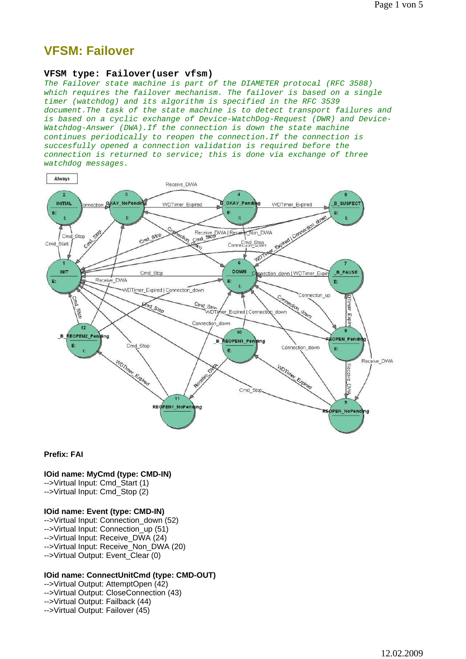# **VFSM: Failover**

## **VFSM type: Failover(user vfsm)**

*The Failover state machine is part of the DIAMETER protocal (RFC 3588) which requires the failover mechanism. The failover is based on a single timer (watchdog) and its algorithm is specified in the RFC 3539 document.The task of the state machine is to detect transport failures and is based on a cyclic exchange of Device-WatchDog-Request (DWR) and Device-Watchdog-Answer (DWA).If the connection is down the state machine continues periodically to reopen the connection.If the connection is succesfully opened a connection validation is required before the connection is returned to service; this is done via exchange of three watchdog messages.*



#### **Prefix: FAI**

## **IOid name: MyCmd (type: CMD-IN)**

-->Virtual Input: Cmd\_Start (1) -->Virtual Input: Cmd\_Stop (2)

#### **IOid name: Event (type: CMD-IN)**

-->Virtual Input: Connection\_down (52) -->Virtual Input: Connection up (51) -->Virtual Input: Receive\_DWA (24) -->Virtual Input: Receive\_Non\_DWA (20) -->Virtual Output: Event\_Clear (0)

## **IOid name: ConnectUnitCmd (type: CMD-OUT)**

-->Virtual Output: AttemptOpen (42) -->Virtual Output: CloseConnection (43) -->Virtual Output: Failback (44) -->Virtual Output: Failover (45)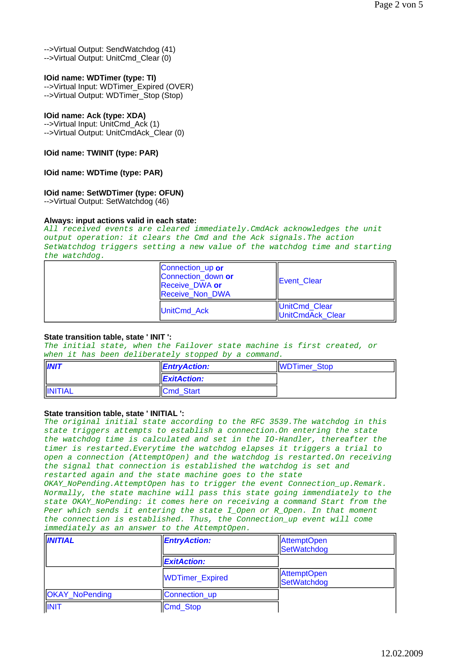-->Virtual Output: SendWatchdog (41) -->Virtual Output: UnitCmd\_Clear (0)

# **IOid name: WDTimer (type: TI)**

-->Virtual Input: WDTimer\_Expired (OVER) -->Virtual Output: WDTimer\_Stop (Stop)

# **IOid name: Ack (type: XDA)**

-->Virtual Input: UnitCmd\_Ack (1) -->Virtual Output: UnitCmdAck\_Clear (0)

**IOid name: TWINIT (type: PAR)**

## **IOid name: WDTime (type: PAR)**

# **IOid name: SetWDTimer (type: OFUN)**

-->Virtual Output: SetWatchdog (46)

## **Always: input actions valid in each state:**

*All received events are cleared immediately.CmdAck acknowledges the unit output operation: it clears the Cmd and the Ack signals.The action SetWatchdog triggers setting a new value of the watchdog time and starting the watchdog.*

| Connection_up or<br>Connection down or<br>Receive DWA or<br><b>Receive Non DWA</b> | <b>IEvent Clear</b>               |
|------------------------------------------------------------------------------------|-----------------------------------|
| <b>UnitCmd Ack</b>                                                                 | UnitCmd Clear<br>UnitCmdAck Clear |

## **State transition table, state ' INIT ':**

*The initial state, when the Failover state machine is first created, or when it has been deliberately stopped by a command.*

| <b>INIT</b>    | <b>EntryAction:</b>     | WDTimer_Stop |
|----------------|-------------------------|--------------|
|                | $\parallel$ ExitAction: |              |
| <b>INITIAL</b> | <b>Cmd Start</b>        |              |

## **State transition table, state ' INITIAL ':**

*The original initial state according to the RFC 3539.The watchdog in this state triggers attempts to establish a connection.On entering the state the watchdog time is calculated and set in the IO-Handler, thereafter the timer is restarted.Everytime the watchdog elapses it triggers a trial to open a connection (AttemptOpen) and the watchdog is restarted.On receiving the signal that connection is established the watchdog is set and restarted again and the state machine goes to the state OKAY\_NoPending.AttemptOpen has to trigger the event Connection\_up.Remark. Normally, the state machine will pass this state going immendiately to the state OKAY\_NoPending: it comes here on receiving a command Start from the Peer which sends it entering the state I\_Open or R\_Open. In that moment the connection is established. Thus, the Connection\_up event will come immediately as an answer to the AttemptOpen.*

| <b>INITIAL</b>        | <b>EntryAction:</b>    | AttemptOpen<br>SetWatchdog        |
|-----------------------|------------------------|-----------------------------------|
|                       | <b>ExitAction:</b>     |                                   |
|                       | <b>WDTimer_Expired</b> | <b>AttemptOpen</b><br>SetWatchdog |
| <b>OKAY_NoPending</b> | Connection_up          |                                   |
| <b>INIT</b>           | Cmd_Stop               |                                   |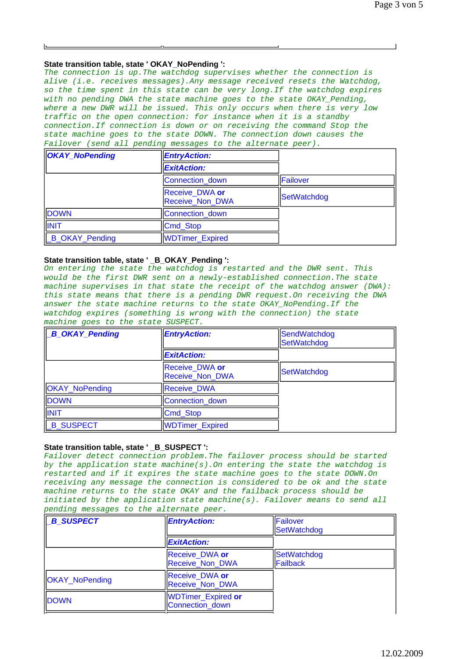## **State transition table, state ' OKAY\_NoPending ':**

*The connection is up.The watchdog supervises whether the connection is alive (i.e. receives messages).Any message received resets the Watchdog, so the time spent in this state can be very long.If the watchdog expires with no pending DWA the state machine goes to the state OKAY\_Pending, where a new DWR will be issued. This only occurs when there is very low traffic on the open connection: for instance when it is a standby connection.If connection is down or on receiving the command Stop the state machine goes to the state DOWN. The connection down causes the Failover (send all pending messages to the alternate peer).*

| <b>OKAY_NoPending</b> | <b>EntryAction:</b>                      |                 |
|-----------------------|------------------------------------------|-----------------|
|                       | <b>ExitAction:</b>                       |                 |
|                       | Connection down                          | <b>Failover</b> |
|                       | Receive_DWA or<br><b>Receive Non DWA</b> | SetWatchdog     |
| <b>DOWN</b>           | Connection down                          |                 |
| INIT                  | Cmd_Stop                                 |                 |
| B_OKAY_Pending        | WDTimer_Expired                          |                 |

## State transition table, state ' B OKAY Pending ':

*On entering the state the watchdog is restarted and the DWR sent. This would be the first DWR sent on a newly-established connection.The state machine supervises in that state the receipt of the watchdog answer (DWA): this state means that there is a pending DWR request.On receiving the DWA answer the state machine returns to the state OKAY\_NoPending.If the watchdog expires (something is wrong with the connection) the state machine goes to the state SUSPECT.*

| <b>B_OKAY_Pending</b> | <b>EntryAction:</b>                      | SendWatchdog<br>SetWatchdog |
|-----------------------|------------------------------------------|-----------------------------|
|                       | <b>ExitAction:</b>                       |                             |
|                       | Receive_DWA or<br><b>Receive_Non_DWA</b> | SetWatchdog                 |
| <b>OKAY_NoPending</b> | <b>Receive DWA</b>                       |                             |
| <b>DOWN</b>           | Connection down                          |                             |
| INIT                  | Cmd_Stop                                 |                             |
| <b>B SUSPECT</b>      | <b>WDTimer_Expired</b>                   |                             |

## **State transition table, state ' \_B\_SUSPECT ':**

*Failover detect connection problem.The failover process should be started by the application state machine(s).On entering the state the watchdog is restarted and if it expires the state machine goes to the state DOWN.On receiving any message the connection is considered to be ok and the state machine returns to the state OKAY and the failback process should be initiated by the application state machine(s). Failover means to send all pending messages to the alternate peer.*

| <b>B SUSPECT</b>      | <b>EntryAction:</b>                             | <b>IFailover</b><br><b>SetWatchdog</b> |
|-----------------------|-------------------------------------------------|----------------------------------------|
|                       | <b>ExitAction:</b>                              |                                        |
|                       | Receive DWA or<br><b>Receive Non DWA</b>        | <b>SetWatchdog</b><br><b>IFailback</b> |
| <b>OKAY_NoPending</b> | <b>Receive DWA or</b><br><b>Receive Non DWA</b> |                                        |
| <b>DOWN</b>           | WDTimer_Expired or<br>Connection_down           |                                        |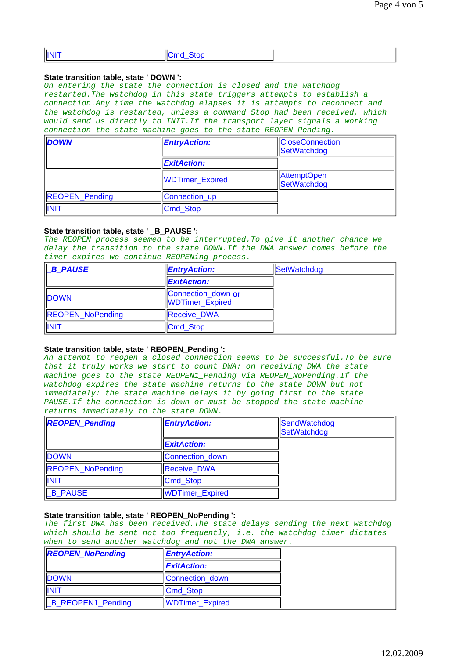| <b>INIT</b> | ШС<br>∶md<br>мон |  |
|-------------|------------------|--|
|             |                  |  |

#### **State transition table, state ' DOWN ':**

*On entering the state the connection is closed and the watchdog restarted.The watchdog in this state triggers attempts to establish a connection.Any time the watchdog elapses it is attempts to reconnect and the watchdog is restarted, unless a command Stop had been received, which would send us directly to INIT.If the transport layer signals a working connection the state machine goes to the state REOPEN\_Pending.*

| <b>DOWN</b>           | <b>EntryAction:</b>    | <b>CloseConnection</b><br>SetWatchdog |
|-----------------------|------------------------|---------------------------------------|
|                       | <b>ExitAction:</b>     |                                       |
|                       | <b>WDTimer_Expired</b> | <b>AttemptOpen</b><br>SetWatchdog     |
| <b>REOPEN_Pending</b> | Connection_up          |                                       |
| INIT                  | Cmd_Stop               |                                       |

## **State transition table, state ' \_B\_PAUSE ':**

*The REOPEN process seemed to be interrupted.To give it another chance we delay the transition to the state DOWN.If the DWA answer comes before the timer expires we continue REOPENing process.*

| <b>B PAUSE</b>          | <b>EntryAction:</b>                   | SetWatchdog |
|-------------------------|---------------------------------------|-------------|
|                         | <b>ExitAction:</b>                    |             |
| <b>DOWN</b>             | Connection_down or<br>WDTimer_Expired |             |
| <b>REOPEN_NoPending</b> | <b>Receive DWA</b>                    |             |
| INIT                    | Cmd Stop                              |             |

#### **State transition table, state ' REOPEN\_Pending ':**

*An attempt to reopen a closed connection seems to be successful.To be sure that it truly works we start to count DWA: on receiving DWA the state machine goes to the state REOPEN1\_Pending via REOPEN\_NoPending.If the watchdog expires the state machine returns to the state DOWN but not immediately: the state machine delays it by going first to the state PAUSE.If the connection is down or must be stopped the state machine returns immediately to the state DOWN.*

| <b>REOPEN_Pending</b>   | <b>EntryAction:</b>    | SendWatchdog<br>SetWatchdog |
|-------------------------|------------------------|-----------------------------|
|                         | <b>ExitAction:</b>     |                             |
| <b>DOWN</b>             | Connection down        |                             |
| <b>REOPEN_NoPending</b> | <b>Receive DWA</b>     |                             |
| INIT                    | Cmd_Stop               |                             |
| B_PAUSE                 | <b>WDTimer_Expired</b> |                             |

## **State transition table, state ' REOPEN\_NoPending ':**

*The first DWA has been received.The state delays sending the next watchdog which should be sent not too frequently, i.e. the watchdog timer dictates when to send another watchdog and not the DWA answer.*

| <b>REOPEN_NoPending</b>   | <b>EntryAction:</b> |
|---------------------------|---------------------|
|                           | <b>ExitAction:</b>  |
| <b>DOWN</b>               | Connection down     |
| INIT                      | Cmd Stop            |
| <b>LB_REOPEN1_Pending</b> | WDTimer_Expired     |